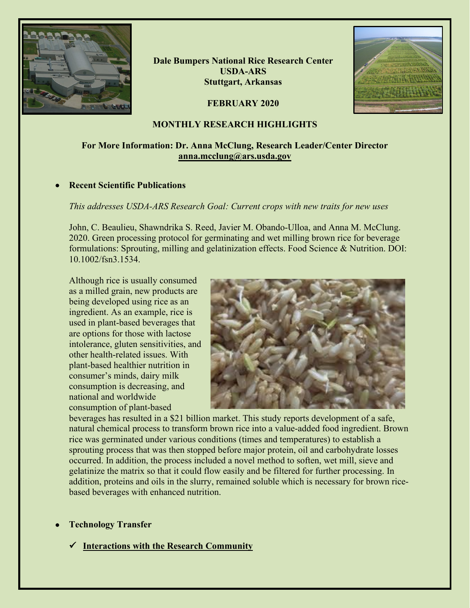

**Dale Bumpers National Rice Research Center USDA-ARS Stuttgart, Arkansas**

**FEBRUARY 2020**



## **MONTHLY RESEARCH HIGHLIGHTS**

# **For More Information: Dr. Anna McClung, Research Leader/Center Director [anna.mcclung@ars.usda.gov](mailto:anna.mcclung@ars.usda.gov)**

## • **Recent Scientific Publications**

## *This addresses USDA-ARS Research Goal: Current crops with new traits for new uses*

John, C. Beaulieu, Shawndrika S. Reed, Javier M. Obando-Ulloa, and Anna M. McClung. 2020. Green processing protocol for germinating and wet milling brown rice for beverage formulations: Sprouting, milling and gelatinization effects. Food Science & Nutrition. DOI: 10.1002/fsn3.1534.

Although rice is usually consumed as a milled grain, new products are being developed using rice as an ingredient. As an example, rice is used in plant-based beverages that are options for those with lactose intolerance, gluten sensitivities, and other health-related issues. With plant-based healthier nutrition in consumer's minds, dairy milk consumption is decreasing, and national and worldwide consumption of plant-based



beverages has resulted in a \$21 billion market. This study reports development of a safe, natural chemical process to transform brown rice into a value-added food ingredient. Brown rice was germinated under various conditions (times and temperatures) to establish a sprouting process that was then stopped before major protein, oil and carbohydrate losses occurred. In addition, the process included a novel method to soften, wet mill, sieve and gelatinize the matrix so that it could flow easily and be filtered for further processing. In addition, proteins and oils in the slurry, remained soluble which is necessary for brown ricebased beverages with enhanced nutrition.

## • **Technology Transfer**

**Interactions with the Research Community**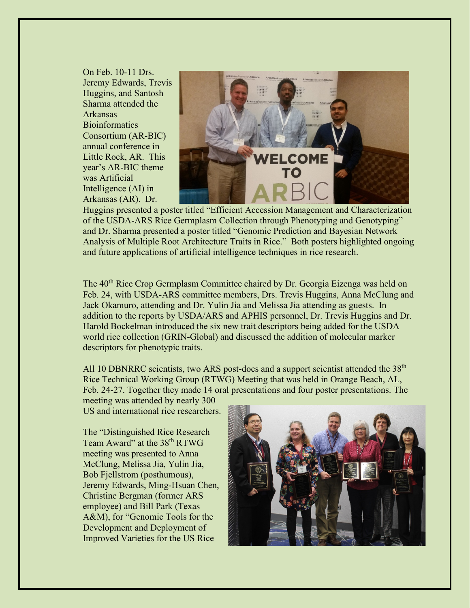On Feb. 10-11 Drs. Jeremy Edwards, Trevis Huggins, and Santosh Sharma attended the Arkansas **Bioinformatics** Consortium (AR-BIC) annual conference in Little Rock, AR. This year's AR-BIC theme was Artificial Intelligence (AI) in Arkansas (AR). Dr.



Huggins presented a poster titled "Efficient Accession Management and Characterization of the USDA-ARS Rice Germplasm Collection through Phenotyping and Genotyping" and Dr. Sharma presented a poster titled "Genomic Prediction and Bayesian Network Analysis of Multiple Root Architecture Traits in Rice." Both posters highlighted ongoing and future applications of artificial intelligence techniques in rice research.

The 40th Rice Crop Germplasm Committee chaired by Dr. Georgia Eizenga was held on Feb. 24, with USDA-ARS committee members, Drs. Trevis Huggins, Anna McClung and Jack Okamuro, attending and Dr. Yulin Jia and Melissa Jia attending as guests. In addition to the reports by USDA/ARS and APHIS personnel, Dr. Trevis Huggins and Dr. Harold Bockelman introduced the six new trait descriptors being added for the USDA world rice collection (GRIN-Global) and discussed the addition of molecular marker descriptors for phenotypic traits.

All 10 DBNRRC scientists, two ARS post-docs and a support scientist attended the 38<sup>th</sup> Rice Technical Working Group (RTWG) Meeting that was held in Orange Beach, AL, Feb. 24-27. Together they made 14 oral presentations and four poster presentations. The

meeting was attended by nearly 300 US and international rice researchers.

The "Distinguished Rice Research Team Award" at the 38<sup>th</sup> RTWG meeting was presented to Anna McClung, Melissa Jia, Yulin Jia, Bob Fjellstrom (posthumous), Jeremy Edwards, Ming-Hsuan Chen, Christine Bergman (former ARS employee) and Bill Park (Texas A&M), for "Genomic Tools for the Development and Deployment of Improved Varieties for the US Rice